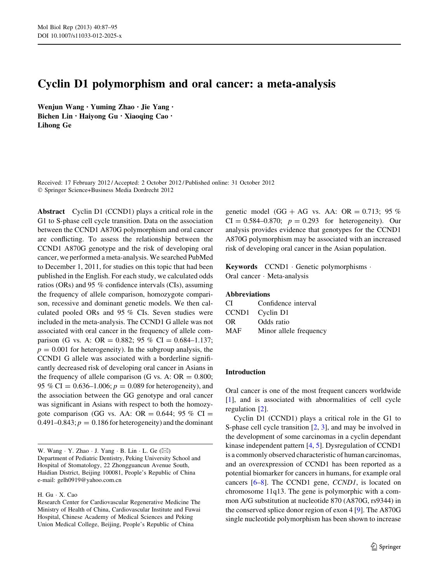# Cyclin D1 polymorphism and oral cancer: a meta-analysis

Wenjun Wang • Yuming Zhao • Jie Yang • Bichen Lin • Haiyong Gu • Xiaoqing Cao • Lihong Ge

Received: 17 February 2012 / Accepted: 2 October 2012 / Published online: 31 October 2012 - Springer Science+Business Media Dordrecht 2012

Abstract Cyclin D1 (CCND1) plays a critical role in the G1 to S-phase cell cycle transition. Data on the association between the CCND1 A870G polymorphism and oral cancer are conflicting. To assess the relationship between the CCND1 A870G genotype and the risk of developing oral cancer, we performed a meta-analysis. We searched PubMed to December 1, 2011, for studies on this topic that had been published in the English. For each study, we calculated odds ratios (ORs) and 95 % confidence intervals (CIs), assuming the frequency of allele comparison, homozygote comparison, recessive and dominant genetic models. We then calculated pooled ORs and 95 % CIs. Seven studies were included in the meta-analysis. The CCND1 G allele was not associated with oral cancer in the frequency of allele comparison (G vs. A: OR = 0.882; 95 % CI = 0.684–1.137;  $p = 0.001$  for heterogeneity). In the subgroup analysis, the CCND1 G allele was associated with a borderline significantly decreased risk of developing oral cancer in Asians in the frequency of allele comparison (G vs. A:  $OR = 0.800$ ; 95 % CI = 0.636–1.006;  $p = 0.089$  for heterogeneity), and the association between the GG genotype and oral cancer was significant in Asians with respect to both the homozygote comparison (GG vs. AA: OR =  $0.644$ ; 95 % CI = 0.491–0.843;  $p = 0.186$  for heterogeneity) and the dominant

H. Gu - X. Cao

genetic model (GG + AG vs. AA: OR = 0.713; 95 %  $CI = 0.584 - 0.870$ ;  $p = 0.293$  for heterogeneity). Our analysis provides evidence that genotypes for the CCND1 A870G polymorphism may be associated with an increased risk of developing oral cancer in the Asian population.

Keywords CCND1 - Genetic polymorphisms - Oral cancer - Meta-analysis

#### Abbreviations

| CI.        | Confidence interval    |
|------------|------------------------|
|            | CCND1 Cyclin D1        |
| OR.        | Odds ratio             |
| <b>MAF</b> | Minor allele frequency |

## Introduction

Oral cancer is one of the most frequent cancers worldwide [\[1](#page-7-0)], and is associated with abnormalities of cell cycle regulation [\[2](#page-7-0)].

Cyclin D1 (CCND1) plays a critical role in the G1 to S-phase cell cycle transition [[2,](#page-7-0) [3\]](#page-7-0), and may be involved in the development of some carcinomas in a cyclin dependant kinase independent pattern [[4,](#page-7-0) [5\]](#page-7-0). Dysregulation of CCND1 is a commonly observed characteristic of human carcinomas, and an overexpression of CCND1 has been reported as a potential biomarker for cancers in humans, for example oral cancers [[6–8\]](#page-8-0). The CCND1 gene, CCND1, is located on chromosome 11q13. The gene is polymorphic with a common A/G substitution at nucleotide 870 (A870G, rs9344) in the conserved splice donor region of exon 4 [\[9](#page-8-0)]. The A870G single nucleotide polymorphism has been shown to increase

W. Wang  $\cdot$  Y. Zhao  $\cdot$  J. Yang  $\cdot$  B. Lin  $\cdot$  L. Ge ( $\boxtimes$ ) Department of Pediatric Dentistry, Peking University School and Hospital of Stomatology, 22 Zhongguancun Avenue South, Haidian District, Beijing 100081, People's Republic of China e-mail: gelh0919@yahoo.com.cn

Research Center for Cardiovascular Regenerative Medicine The Ministry of Health of China, Cardiovascular Institute and Fuwai Hospital, Chinese Academy of Medical Sciences and Peking Union Medical College, Beijing, People's Republic of China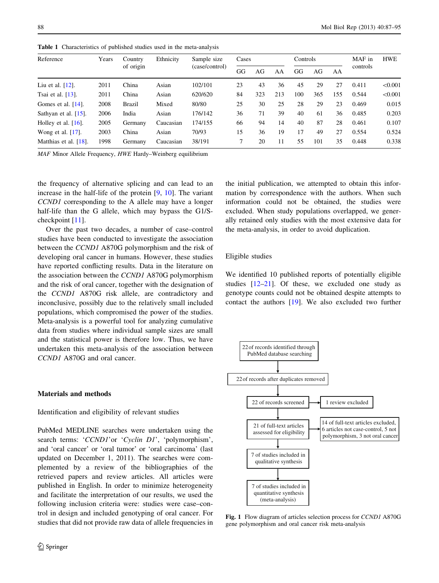| Reference                | Years | Country<br>of origin | Ethnicity | Sample size<br>(case/control) | Cases |     |     | Controls |     |     | MAF in   | <b>HWE</b> |
|--------------------------|-------|----------------------|-----------|-------------------------------|-------|-----|-----|----------|-----|-----|----------|------------|
|                          |       |                      |           |                               | GG    | AG  | AA  | GG       | AG  | AA  | controls |            |
| Liu et al. $[12]$ .      | 2011  | China                | Asian     | 102/101                       | 23    | 43  | 36  | 45       | 29  | 27  | 0.411    | < 0.001    |
| Tsai et al. $[13]$ .     | 2011  | China                | Asian     | 620/620                       | 84    | 323 | 213 | 100      | 365 | 155 | 0.544    | < 0.001    |
| Gomes et al. $[14]$ .    | 2008  | Brazil               | Mixed     | 80/80                         | 25    | 30  | 25  | 28       | 29  | 23  | 0.469    | 0.015      |
| Sathyan et al. $[15]$ .  | 2006  | India                | Asian     | 176/142                       | 36    | 71  | 39  | 40       | 61  | 36  | 0.485    | 0.203      |
| Holley et al. $[16]$ .   | 2005  | Germany              | Caucasian | 174/155                       | 66    | 94  | 14  | 40       | 87  | 28  | 0.461    | 0.107      |
| Wong et al. [17].        | 2003  | China                | Asian     | 70/93                         | 15    | 36  | 19  | 17       | 49  | 27  | 0.554    | 0.524      |
| Matthias et al. $[18]$ . | 1998  | Germany              | Caucasian | 38/191                        | 7     | 20  | 11  | 55       | 101 | 35  | 0.448    | 0.338      |

<span id="page-1-0"></span>Table 1 Characteristics of published studies used in the meta-analysis

MAF Minor Allele Frequency, HWE Hardy–Weinberg equilibrium

the frequency of alternative splicing and can lead to an increase in the half-life of the protein [\[9](#page-8-0), [10](#page-8-0)]. The variant CCND1 corresponding to the A allele may have a longer half-life than the G allele, which may bypass the G1/Scheckpoint [[11\]](#page-8-0).

Over the past two decades, a number of case–control studies have been conducted to investigate the association between the CCND1 A870G polymorphism and the risk of developing oral cancer in humans. However, these studies have reported conflicting results. Data in the literature on the association between the CCND1 A870G polymorphism and the risk of oral cancer, together with the designation of the CCND1 A870G risk allele, are contradictory and inconclusive, possibly due to the relatively small included populations, which compromised the power of the studies. Meta-analysis is a powerful tool for analyzing cumulative data from studies where individual sample sizes are small and the statistical power is therefore low. Thus, we have undertaken this meta-analysis of the association between CCND1 A870G and oral cancer.

#### Materials and methods

Identification and eligibility of relevant studies

PubMed MEDLINE searches were undertaken using the search terms: 'CCND1'or 'Cyclin D1', 'polymorphism', and 'oral cancer' or 'oral tumor' or 'oral carcinoma' (last updated on December 1, 2011). The searches were complemented by a review of the bibliographies of the retrieved papers and review articles. All articles were published in English. In order to minimize heterogeneity and facilitate the interpretation of our results, we used the following inclusion criteria were: studies were case–control in design and included genotyping of oral cancer. For studies that did not provide raw data of allele frequencies in the initial publication, we attempted to obtain this information by correspondence with the authors. When such information could not be obtained, the studies were excluded. When study populations overlapped, we generally retained only studies with the most extensive data for the meta-analysis, in order to avoid duplication.

## Eligible studies

We identified 10 published reports of potentially eligible studies [[12–21\]](#page-8-0). Of these, we excluded one study as genotype counts could not be obtained despite attempts to contact the authors [\[19](#page-8-0)]. We also excluded two further



Fig. 1 Flow diagram of articles selection process for CCND1 A870G gene polymorphism and oral cancer risk meta-analysis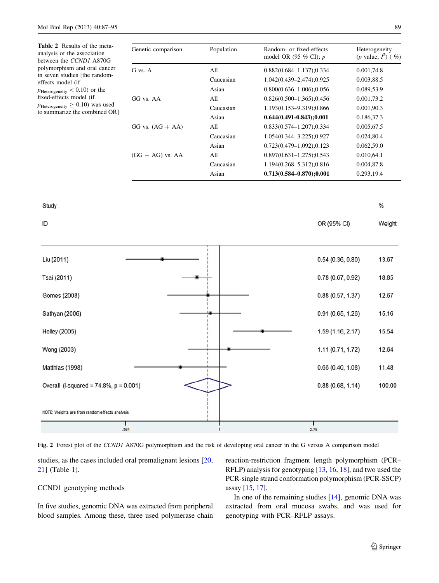<span id="page-2-0"></span>

| Table 2 Results of the meta-<br>analysis of the association<br>between the CCND1 A870G | Genetic comparison   | Population | Random- or fixed-effects<br>model OR (95 % CI); $p$ | Heterogeneity<br>(p value, $I^2$ ) (%)                             |  |
|----------------------------------------------------------------------------------------|----------------------|------------|-----------------------------------------------------|--------------------------------------------------------------------|--|
| polymorphism and oral cancer                                                           | G vs. A              | All        | $0.882(0.684 - 1.137); 0.334$                       | 0.001,74.8                                                         |  |
| in seven studies [the random-<br>effects model (if                                     |                      | Caucasian  | 1.042(0.439-2.474);0.925                            | 0.003,88.5                                                         |  |
| $p_{\text{Heterogeneity}} < 0.10$ ) or the                                             |                      | Asian      | $0.800(0.636 - 1.006); 0.056$                       | 0.089,53.9                                                         |  |
| fixed-effects model (if                                                                | GG vs. AA            | All        | $0.826(0.500-1.365);0.456$                          | 0.001,73.2<br>0.001,90.3<br>0.186,37.3<br>0.005,67.5<br>0.024,80.4 |  |
| $p_{\text{Heterogeneity}} \geq 0.10$ ) was used<br>to summarize the combined OR]       |                      | Caucasian  | 1.193(0.153-9.319);0.866                            |                                                                    |  |
|                                                                                        |                      | Asian      | $0.644(0.491 - 0.843); 0.001$                       |                                                                    |  |
|                                                                                        | $GG$ vs. $(AG + AA)$ | All        | $0.833(0.574 - 1.207); 0.334$                       |                                                                    |  |
|                                                                                        |                      | Caucasian  | 1.054(0.344-3.225);0.927                            |                                                                    |  |
|                                                                                        |                      | Asian      | $0.723(0.479 - 1.092); 0.123$                       | 0.062,59.0                                                         |  |
|                                                                                        | $(GG + AG)$ vs. AA   | All        | $0.897(0.631 - 1.275); 0.543$                       | 0.010,64.1                                                         |  |
|                                                                                        |                      | Caucasian  | 1.194(0.268-5.312);0.816                            | 0.004,87.8                                                         |  |
|                                                                                        |                      | Asian      | $0.713(0.584 - 0.870); 0.001$                       | 0.293,19.4                                                         |  |
| Study                                                                                  |                      |            |                                                     | $\%$                                                               |  |
|                                                                                        |                      |            |                                                     |                                                                    |  |
| ID                                                                                     |                      |            | OR (95% CI)                                         | Weight                                                             |  |
| Liu (2011)                                                                             |                      |            | 0.54 (0.36, 0.80)                                   | 13.67                                                              |  |
| Tsai (2011)                                                                            |                      |            | 0.78(0.67, 0.92)                                    | 18.85                                                              |  |
| Gomes (2008)                                                                           |                      |            | 0.88(0.57, 1.37)                                    | 12.67                                                              |  |
| Sathyan (2006)                                                                         |                      |            | 0.91 (0.65, 1.26)                                   | 15.16                                                              |  |
| <b>Holley (2005)</b>                                                                   |                      |            | 1.59 (1.16, 2.17)                                   | 15.54                                                              |  |
| Wong (2003)                                                                            |                      |            | 1.11 (0.71, 1.72)                                   | 12.64                                                              |  |
| Matthias (1998)                                                                        |                      |            | 0.66(0.40, 1.08)                                    | 11.48                                                              |  |
| Overall (I-squared = $74.8\%$ , $p = 0.001$ )                                          |                      |            | 0.88(0.68, 1.14)                                    | 100.00                                                             |  |
| NOTE: Weights are from random effects analysis                                         |                      |            |                                                     |                                                                    |  |
|                                                                                        | 364                  |            | 2.75                                                |                                                                    |  |

Fig. 2 Forest plot of the CCND1 A870G polymorphism and the risk of developing oral cancer in the G versus A comparison model

studies, as the cases included oral premalignant lesions [[20,](#page-8-0) [21](#page-8-0)] (Table [1](#page-1-0)).

## CCND1 genotyping methods

In five studies, genomic DNA was extracted from peripheral blood samples. Among these, three used polymerase chain reaction-restriction fragment length polymorphism (PCR– RFLP) analysis for genotyping [\[13,](#page-8-0) [16](#page-8-0), [18\]](#page-8-0), and two used the PCR-single strand conformation polymorphism (PCR-SSCP) assay [\[15,](#page-8-0) [17](#page-8-0)].

In one of the remaining studies [[14\]](#page-8-0), genomic DNA was extracted from oral mucosa swabs, and was used for genotyping with PCR–RFLP assays.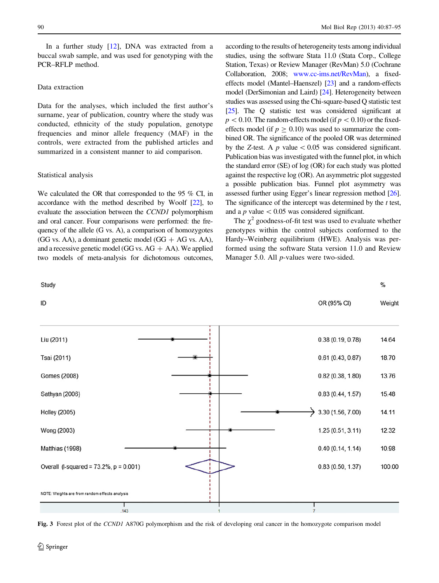<span id="page-3-0"></span>In a further study [[12\]](#page-8-0), DNA was extracted from a buccal swab sample, and was used for genotyping with the PCR–RFLP method.

## Data extraction

Data for the analyses, which included the first author's surname, year of publication, country where the study was conducted, ethnicity of the study population, genotype frequencies and minor allele frequency (MAF) in the controls, were extracted from the published articles and summarized in a consistent manner to aid comparison.

#### Statistical analysis

We calculated the OR that corresponded to the 95 % CI, in accordance with the method described by Woolf [\[22\]](#page-8-0), to evaluate the association between the CCND1 polymorphism and oral cancer. Four comparisons were performed: the frequency of the allele (G vs. A), a comparison of homozygotes  $(GG vs. AA)$ , a dominant genetic model  $(GG + AG vs. AA)$ , and a recessive genetic model (GG vs.  $AG + AA$ ). We applied two models of meta-analysis for dichotomous outcomes,

according to the results of heterogeneity tests among individual studies, using the software Stata 11.0 (Stata Corp., College Station, Texas) or Review Manager (RevMan) 5.0 (Cochrane Collaboration, 2008; [www.cc-ims.net/RevMan\)](http://www.cc-ims.net/RevMan), a fixedeffects model (Mantel–Haenszel) [[23](#page-8-0)] and a random-effects model (DerSimonian and Laird) [\[24\]](#page-8-0). Heterogeneity between studies was assessed using the Chi-square-based Q statistic test [\[25\]](#page-8-0). The Q statistic test was considered significant at  $p\lt 0.10$ . The random-effects model (if  $p\lt 0.10$ ) or the fixedeffects model (if  $p \ge 0.10$ ) was used to summarize the combined OR. The significance of the pooled OR was determined by the Z-test. A  $p$  value  $\lt$  0.05 was considered significant. Publication bias was investigated with the funnel plot, in which the standard error (SE) of log (OR) for each study was plotted against the respective log (OR). An asymmetric plot suggested a possible publication bias. Funnel plot asymmetry was assessed further using Egger's linear regression method [\[26\]](#page-8-0). The significance of the intercept was determined by the  $t$  test, and a p value  $\lt$  0.05 was considered significant.

The  $\chi^2$  goodness-of-fit test was used to evaluate whether genotypes within the control subjects conformed to the Hardy–Weinberg equilibrium (HWE). Analysis was performed using the software Stata version 11.0 and Review Manager 5.0. All p-values were two-sided.



Fig. 3 Forest plot of the CCND1 A870G polymorphism and the risk of developing oral cancer in the homozygote comparison model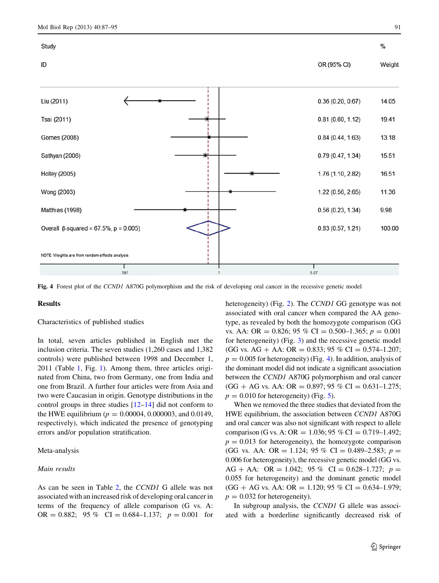

Fig. 4 Forest plot of the CCND1 A870G polymorphism and the risk of developing oral cancer in the recessive genetic model

#### **Results**

#### Characteristics of published studies

In total, seven articles published in English met the inclusion criteria. The seven studies (1,260 cases and 1,382 controls) were published between 1998 and December 1, 2011 (Table [1](#page-1-0), Fig. [1\)](#page-1-0). Among them, three articles originated from China, two from Germany, one from India and one from Brazil. A further four articles were from Asia and two were Caucasian in origin. Genotype distributions in the control groups in three studies [\[12–14](#page-8-0)] did not conform to the HWE equilibrium ( $p = 0.00004, 0.000003$ , and 0.0149, respectively), which indicated the presence of genotyping errors and/or population stratification.

#### Meta-analysis

## Main results

As can be seen in Table [2,](#page-2-0) the CCND1 G allele was not associated with an increased risk of developing oral cancer in terms of the frequency of allele comparison (G vs. A: OR = 0.882; 95 % CI = 0.684-1.137;  $p = 0.001$  for heterogeneity) (Fig. [2](#page-2-0)). The *CCND1* GG genotype was not associated with oral cancer when compared the AA genotype, as revealed by both the homozygote comparison (GG vs. AA: OR =  $0.826$ ; 95 % CI =  $0.500-1.365$ ;  $p = 0.001$ for heterogeneity) (Fig. [3\)](#page-3-0) and the recessive genetic model  $(GG \text{ vs. } AG + AA: OR = 0.833; 95 \% CI = 0.574-1.207;$  $p = 0.005$  for heterogeneity) (Fig. 4). In addition, analysis of the dominant model did not indicate a significant association between the CCND1 A870G polymorphism and oral cancer  $(GG + AG \text{ vs. AA: OR} = 0.897; 95 \text{ % CI} = 0.631 - 1.275;$  $p = 0.010$  for heterogeneity) (Fig. [5](#page-5-0)).

When we removed the three studies that deviated from the HWE equilibrium, the association between CCND1 A870G and oral cancer was also not significant with respect to allele comparison (G vs. A: OR =  $1.036$ ; 95 % CI = 0.719–1.492;  $p = 0.013$  for heterogeneity), the homozygote comparison (GG vs. AA: OR = 1.124; 95 % CI = 0.489–2.583;  $p =$ 0.006 for heterogeneity), the recessive genetic model (GG vs. AG + AA: OR = 1.042; 95 % CI = 0.628-1.727;  $p =$ 0.055 for heterogeneity) and the dominant genetic model  $(GG + AG \text{ vs. AA: OR} = 1.120; 95\% \text{ CI} = 0.634 - 1.979;$  $p = 0.032$  for heterogeneity).

In subgroup analysis, the CCND1 G allele was associated with a borderline significantly decreased risk of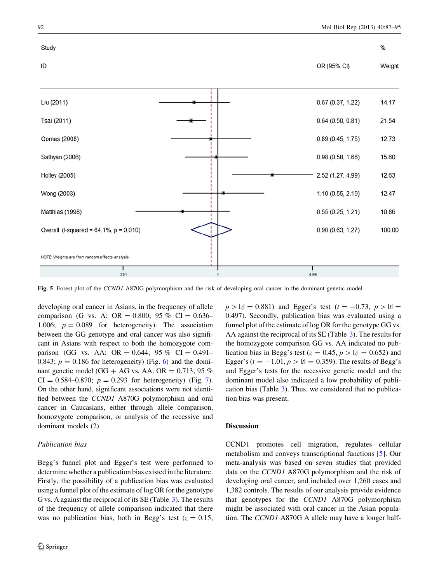<span id="page-5-0"></span>

Fig. 5 Forest plot of the CCND1 A870G polymorphism and the risk of developing oral cancer in the dominant genetic model

developing oral cancer in Asians, in the frequency of allele comparison (G vs. A: OR = 0.800; 95 % CI = 0.636– 1.006;  $p = 0.089$  for heterogeneity). The association between the GG genotype and oral cancer was also significant in Asians with respect to both the homozygote comparison (GG vs. AA: OR =  $0.644$ ; 95 % CI = 0.491– 0.843;  $p = 0.186$  for heterogeneity) (Fig. [6\)](#page-6-0) and the dominant genetic model (GG  $+$  AG vs. AA: OR = 0.713; 95 %  $CI = 0.584 - 0.870$  $CI = 0.584 - 0.870$  $CI = 0.584 - 0.870$ ;  $p = 0.293$  for heterogeneity) (Fig. 7). On the other hand, significant associations were not identified between the CCND1 A870G polymorphism and oral cancer in Caucasians, either through allele comparison, homozygote comparison, or analysis of the recessive and dominant models (2).

#### Publication bias

Begg's funnel plot and Egger's test were performed to determine whether a publication bias existed in the literature. Firstly, the possibility of a publication bias was evaluated using a funnel plot of the estimate of log OR for the genotype G vs. A against the reciprocal of its SE (Table [3\)](#page-7-0). The results of the frequency of allele comparison indicated that there was no publication bias, both in Begg's test ( $z = 0.15$ ,  $p>|z| = 0.881$ ) and Egger's test ( $t = -0.73$ ,  $p>|t| =$ 0.497). Secondly, publication bias was evaluated using a funnel plot of the estimate of log OR for the genotype GG vs. AA against the reciprocal of its SE (Table [3](#page-7-0)). The results for the homozygote comparison GG vs. AA indicated no publication bias in Begg's test ( $z = 0.45$ ,  $p > |z| = 0.652$ ) and Egger's ( $t = -1.01$ ,  $p > |t| = 0.359$ ). The results of Begg's and Egger's tests for the recessive genetic model and the dominant model also indicated a low probability of publication bias (Table [3\)](#page-7-0). Thus, we considered that no publication bias was present.

# Discussion

CCND1 promotes cell migration, regulates cellular metabolism and conveys transcriptional functions [[5\]](#page-7-0). Our meta-analysis was based on seven studies that provided data on the CCND1 A870G polymorphism and the risk of developing oral cancer, and included over 1,260 cases and 1,382 controls. The results of our analysis provide evidence that genotypes for the CCND1 A870G polymorphism might be associated with oral cancer in the Asian population. The CCND1 A870G A allele may have a longer half-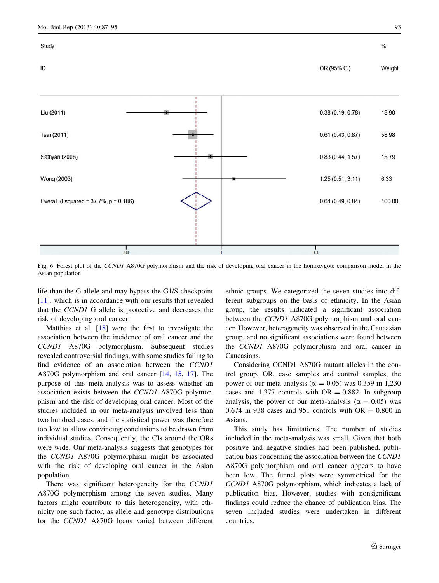<span id="page-6-0"></span>

Fig. 6 Forest plot of the CCND1 A870G polymorphism and the risk of developing oral cancer in the homozygote comparison model in the Asian population

life than the G allele and may bypass the G1/S-checkpoint [\[11](#page-8-0)], which is in accordance with our results that revealed that the CCND1 G allele is protective and decreases the risk of developing oral cancer.

Matthias et al. [[18\]](#page-8-0) were the first to investigate the association between the incidence of oral cancer and the CCND1 A870G polymorphism. Subsequent studies revealed controversial findings, with some studies failing to find evidence of an association between the CCND1 A870G polymorphism and oral cancer [[14,](#page-8-0) [15,](#page-8-0) [17](#page-8-0)]. The purpose of this meta-analysis was to assess whether an association exists between the CCND1 A870G polymorphism and the risk of developing oral cancer. Most of the studies included in our meta-analysis involved less than two hundred cases, and the statistical power was therefore too low to allow convincing conclusions to be drawn from individual studies. Consequently, the CIs around the ORs were wide. Our meta-analysis suggests that genotypes for the CCND1 A870G polymorphism might be associated with the risk of developing oral cancer in the Asian population.

There was significant heterogeneity for the CCND1 A870G polymorphism among the seven studies. Many factors might contribute to this heterogeneity, with ethnicity one such factor, as allele and genotype distributions for the CCND1 A870G locus varied between different ethnic groups. We categorized the seven studies into different subgroups on the basis of ethnicity. In the Asian group, the results indicated a significant association between the CCND1 A870G polymorphism and oral cancer. However, heterogeneity was observed in the Caucasian group, and no significant associations were found between the CCND1 A870G polymorphism and oral cancer in Caucasians.

Considering CCND1 A870G mutant alleles in the control group, OR, case samples and control samples, the power of our meta-analysis ( $\alpha = 0.05$ ) was 0.359 in 1,230 cases and 1,377 controls with  $OR = 0.882$ . In subgroup analysis, the power of our meta-analysis ( $\alpha = 0.05$ ) was 0.674 in 938 cases and 951 controls with  $OR = 0.800$  in Asians.

This study has limitations. The number of studies included in the meta-analysis was small. Given that both positive and negative studies had been published, publication bias concerning the association between the CCND1 A870G polymorphism and oral cancer appears to have been low. The funnel plots were symmetrical for the CCND1 A870G polymorphism, which indicates a lack of publication bias. However, studies with nonsignificant findings could reduce the chance of publication bias. The seven included studies were undertaken in different countries.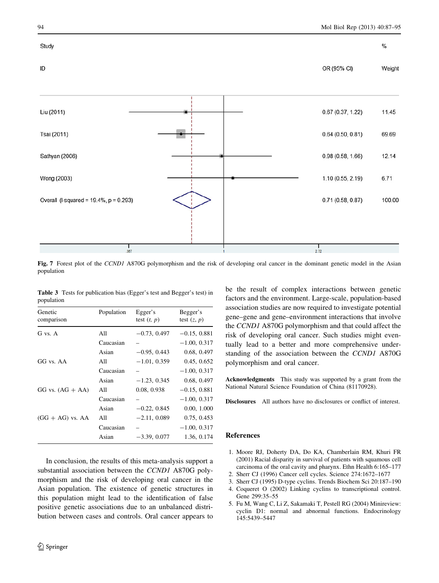<span id="page-7-0"></span>

Fig. 7 Forest plot of the CCND1 A870G polymorphism and the risk of developing oral cancer in the dominant genetic model in the Asian population

Table 3 Tests for publication bias (Egger's test and Begger's test) in population

| Genetic<br>comparison | Population | Egger's<br>test $(t, p)$ | Begger's<br>test $(z, p)$ |
|-----------------------|------------|--------------------------|---------------------------|
| G vs. A               | All        | $-0.73, 0.497$           | $-0.15, 0.881$            |
|                       | Caucasian  |                          | $-1.00, 0.317$            |
|                       | Asian      | $-0.95, 0.443$           | 0.68, 0.497               |
| GG vs. AA             | All        | $-1.01, 0.359$           | 0.45, 0.652               |
|                       | Caucasian  |                          | $-1.00, 0.317$            |
|                       | Asian      | $-1.23, 0.345$           | 0.68, 0.497               |
| GG vs. $(AG + AA)$    | All        | 0.08, 0.938              | $-0.15, 0.881$            |
|                       | Caucasian  |                          | $-1.00, 0.317$            |
|                       | Asian      | $-0.22, 0.845$           | 0.00, 1.000               |
| $(GG + AG)$ vs. AA    | All        | $-2.11, 0.089$           | 0.75, 0.453               |
|                       | Caucasian  |                          | $-1.00, 0.317$            |
|                       | Asian      | $-3.39, 0.077$           | 1.36, 0.174               |
|                       |            |                          |                           |

In conclusion, the results of this meta-analysis support a substantial association between the CCND1 A870G polymorphism and the risk of developing oral cancer in the Asian population. The existence of genetic structures in this population might lead to the identification of false positive genetic associations due to an unbalanced distribution between cases and controls. Oral cancer appears to be the result of complex interactions between genetic factors and the environment. Large-scale, population-based association studies are now required to investigate potential gene–gene and gene–environment interactions that involve the CCND1 A870G polymorphism and that could affect the risk of developing oral cancer. Such studies might eventually lead to a better and more comprehensive understanding of the association between the CCND1 A870G polymorphism and oral cancer.

Acknowledgments This study was supported by a grant from the National Natural Science Foundation of China (81170928).

Disclosures All authors have no disclosures or conflict of interest.

#### References

- 1. Moore RJ, Doherty DA, Do KA, Chamberlain RM, Khuri FR (2001) Racial disparity in survival of patients with squamous cell carcinoma of the oral cavity and pharynx. Ethn Health 6:165–177
- 2. Sherr CJ (1996) Cancer cell cycles. Science 274:1672–1677
- 3. Sherr CJ (1995) D-type cyclins. Trends Biochem Sci 20:187–190
- 4. Coqueret O (2002) Linking cyclins to transcriptional control. Gene 299:35–55
- 5. Fu M, Wang C, Li Z, Sakamaki T, Pestell RG (2004) Minireview: cyclin D1: normal and abnormal functions. Endocrinology 145:5439–5447